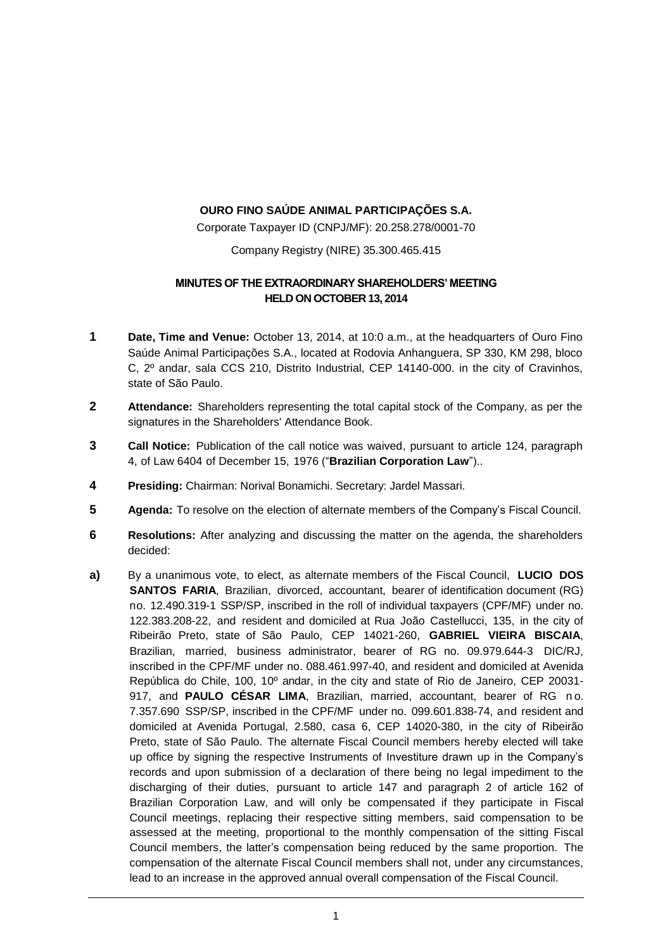## **OURO FINO SAÚDE ANIMAL PARTICIPAÇÕES S.A.**

Corporate Taxpayer ID (CNPJ/MF): 20.258.278/0001-70

Company Registry (NIRE) 35.300.465.415

## **MINUTES OF THE EXTRAORDINARY SHAREHOLDERS' MEETING HELD ON OCTOBER 13, 2014**

- **1 Date, Time and Venue:** October 13, 2014, at 10:0 a.m., at the headquarters of Ouro Fino Saúde Animal Participações S.A., located at Rodovia Anhanguera, SP 330, KM 298, bloco C, 2º andar, sala CCS 210, Distrito Industrial, CEP 14140-000. in the city of Cravinhos, state of São Paulo.
- **2 Attendance:** Shareholders representing the total capital stock of the Company, as per the signatures in the Shareholders' Attendance Book.
- **3 Call Notice:** Publication of the call notice was waived, pursuant to article 124, paragraph 4, of Law 6404 of December 15, 1976 ("**Brazilian Corporation Law**")..
- **4 Presiding:** Chairman: Norival Bonamichi. Secretary: Jardel Massari.
- **5 Agenda:** To resolve on the election of alternate members of the Company's Fiscal Council.
- **6 Resolutions:** After analyzing and discussing the matter on the agenda, the shareholders decided:
- **a)** By a unanimous vote, to elect, as alternate members of the Fiscal Council, **LUCIO DOS SANTOS FARIA**, Brazilian, divorced, accountant, bearer of identification document (RG) no. 12.490.319-1 SSP/SP, inscribed in the roll of individual taxpayers (CPF/MF) under no. 122.383.208-22, and resident and domiciled at Rua João Castellucci, 135, in the city of Ribeirão Preto, state of São Paulo, CEP 14021-260, **GABRIEL VIEIRA BISCAIA**, Brazilian, married, business administrator, bearer of RG no. 09.979.644-3 DIC/RJ, inscribed in the CPF/MF under no. 088.461.997-40, and resident and domiciled at Avenida República do Chile, 100, 10º andar, in the city and state of Rio de Janeiro, CEP 20031- 917, and **PAULO CÉSAR LIMA**, Brazilian, married, accountant, bearer of RG n o. 7.357.690 SSP/SP, inscribed in the CPF/MF under no. 099.601.838-74, and resident and domiciled at Avenida Portugal, 2.580, casa 6, CEP 14020-380, in the city of Ribeirão Preto, state of São Paulo. The alternate Fiscal Council members hereby elected will take up office by signing the respective Instruments of Investiture drawn up in the Company's records and upon submission of a declaration of there being no legal impediment to the discharging of their duties, pursuant to article 147 and paragraph 2 of article 162 of Brazilian Corporation Law, and will only be compensated if they participate in Fiscal Council meetings, replacing their respective sitting members, said compensation to be assessed at the meeting, proportional to the monthly compensation of the sitting Fiscal Council members, the latter's compensation being reduced by the same proportion. The compensation of the alternate Fiscal Council members shall not, under any circumstances, lead to an increase in the approved annual overall compensation of the Fiscal Council.